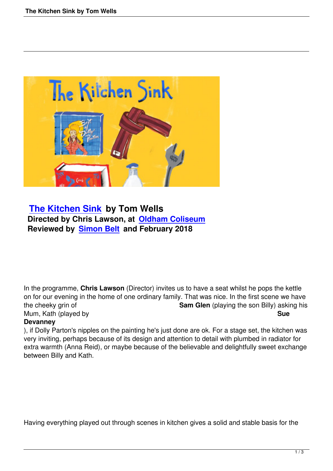

## **The Kitchen Sink by Tom Wells Directed by Chris Lawson, at Oldham Coliseum [Reviewed by Simon](the-kitchen-sink-by-tom-wells.html) Belt and February 2018**

In the programme, **Chris Lawson** (Director) invites us to have a seat whilst he pops the kettle on for our evening in the home of one ordinary family. That was nice. In the first scene we have the cheeky grin of **Sam Glen** (playing the son Billy) asking his Mum, Kath (played by **Sue** 

## **Devanney**

), if Dolly Parton's nipples on the painting he's just done are ok. For a stage set, the kitchen was very inviting, perhaps because of its design and attention to detail with plumbed in radiator for extra warmth (Anna Reid), or maybe because of the believable and delightfully sweet exchange between Billy and Kath.

Having everything played out through scenes in kitchen gives a solid and stable basis for the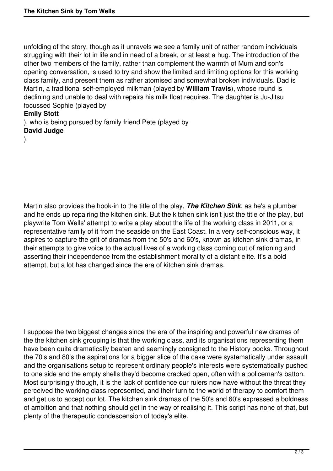unfolding of the story, though as it unravels we see a family unit of rather random individuals struggling with their lot in life and in need of a break, or at least a hug. The introduction of the other two members of the family, rather than complement the warmth of Mum and son's opening conversation, is used to try and show the limited and limiting options for this working class family, and present them as rather atomised and somewhat broken individuals. Dad is Martin, a traditional self-employed milkman (played by **William Travis**), whose round is declining and unable to deal with repairs his milk float requires. The daughter is Ju-Jitsu focussed Sophie (played by

## **Emily Stott**

), who is being pursued by family friend Pete (played by **David Judge**

).

Martin also provides the hook-in to the title of the play, *The Kitchen Sink*, as he's a plumber and he ends up repairing the kitchen sink. But the kitchen sink isn't just the title of the play, but playwrite Tom Wells' attempt to write a play about the life of the working class in 2011, or a representative family of it from the seaside on the East Coast. In a very self-conscious way, it aspires to capture the grit of dramas from the 50's and 60's, known as kitchen sink dramas, in their attempts to give voice to the actual lives of a working class coming out of rationing and asserting their independence from the establishment morality of a distant elite. It's a bold attempt, but a lot has changed since the era of kitchen sink dramas.

I suppose the two biggest changes since the era of the inspiring and powerful new dramas of the the kitchen sink grouping is that the working class, and its organisations representing them have been quite dramatically beaten and seemingly consigned to the History books. Throughout the 70's and 80's the aspirations for a bigger slice of the cake were systematically under assault and the organisations setup to represent ordinary people's interests were systematically pushed to one side and the empty shells they'd become cracked open, often with a policeman's batton. Most surprisingly though, it is the lack of confidence our rulers now have without the threat they perceived the working class represented, and their turn to the world of therapy to comfort them and get us to accept our lot. The kitchen sink dramas of the 50's and 60's expressed a boldness of ambition and that nothing should get in the way of realising it. This script has none of that, but plenty of the therapeutic condescension of today's elite.